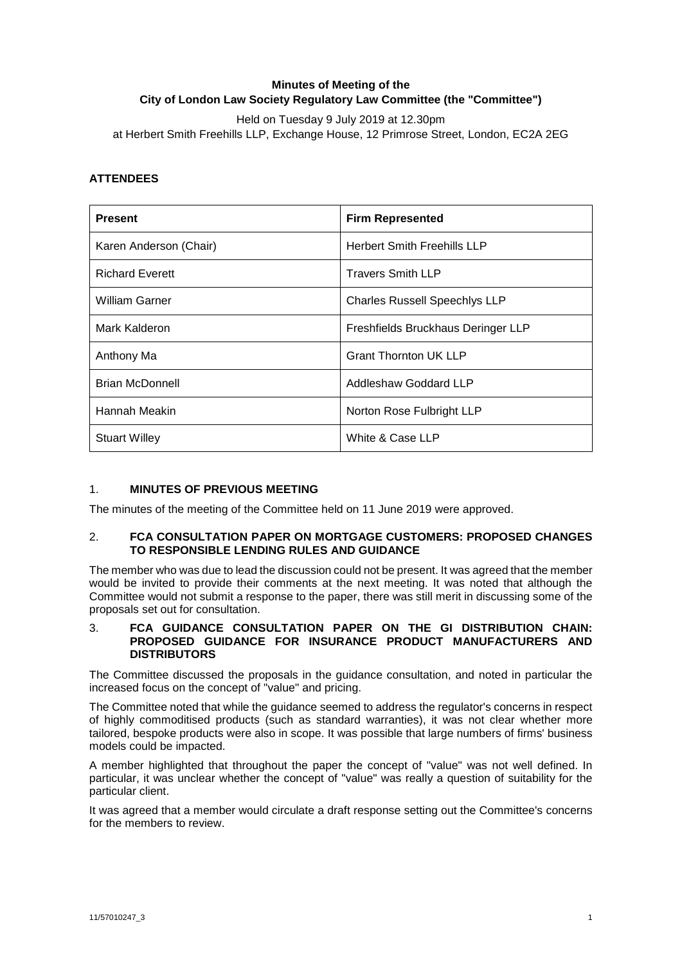# **Minutes of Meeting of the City of London Law Society Regulatory Law Committee (the "Committee")**

Held on Tuesday 9 July 2019 at 12.30pm at Herbert Smith Freehills LLP, Exchange House, 12 Primrose Street, London, EC2A 2EG

# **ATTENDEES**

| <b>Present</b>         | <b>Firm Represented</b>              |
|------------------------|--------------------------------------|
| Karen Anderson (Chair) | <b>Herbert Smith Freehills LLP</b>   |
| <b>Richard Everett</b> | <b>Travers Smith LLP</b>             |
| <b>William Garner</b>  | <b>Charles Russell Speechlys LLP</b> |
| Mark Kalderon          | Freshfields Bruckhaus Deringer LLP   |
| Anthony Ma             | <b>Grant Thornton UK LLP</b>         |
| <b>Brian McDonnell</b> | Addleshaw Goddard LLP                |
| Hannah Meakin          | Norton Rose Fulbright LLP            |
| <b>Stuart Willey</b>   | White & Case LLP                     |

## 1. **MINUTES OF PREVIOUS MEETING**

The minutes of the meeting of the Committee held on 11 June 2019 were approved.

#### 2. **FCA CONSULTATION PAPER ON MORTGAGE CUSTOMERS: PROPOSED CHANGES TO RESPONSIBLE LENDING RULES AND GUIDANCE**

The member who was due to lead the discussion could not be present. It was agreed that the member would be invited to provide their comments at the next meeting. It was noted that although the Committee would not submit a response to the paper, there was still merit in discussing some of the proposals set out for consultation.

#### 3. **FCA GUIDANCE CONSULTATION PAPER ON THE GI DISTRIBUTION CHAIN: PROPOSED GUIDANCE FOR INSURANCE PRODUCT MANUFACTURERS AND DISTRIBUTORS**

The Committee discussed the proposals in the guidance consultation, and noted in particular the increased focus on the concept of "value" and pricing.

The Committee noted that while the guidance seemed to address the regulator's concerns in respect of highly commoditised products (such as standard warranties), it was not clear whether more tailored, bespoke products were also in scope. It was possible that large numbers of firms' business models could be impacted.

A member highlighted that throughout the paper the concept of "value" was not well defined. In particular, it was unclear whether the concept of "value" was really a question of suitability for the particular client.

It was agreed that a member would circulate a draft response setting out the Committee's concerns for the members to review.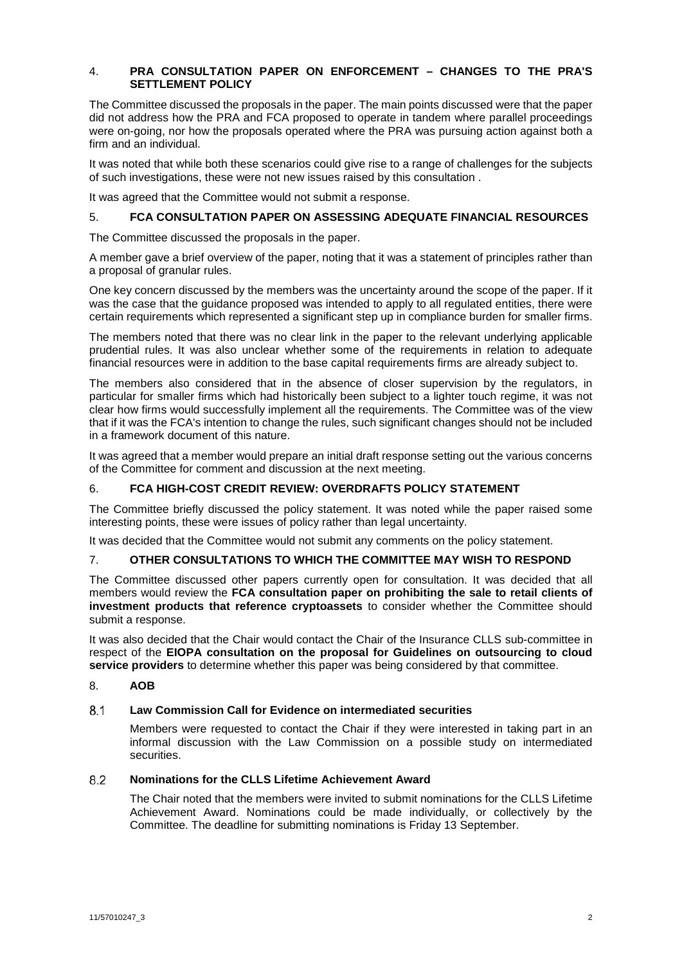#### 4. **PRA CONSULTATION PAPER ON ENFORCEMENT – CHANGES TO THE PRA'S SETTLEMENT POLICY**

The Committee discussed the proposals in the paper. The main points discussed were that the paper did not address how the PRA and FCA proposed to operate in tandem where parallel proceedings were on-going, nor how the proposals operated where the PRA was pursuing action against both a firm and an individual.

It was noted that while both these scenarios could give rise to a range of challenges for the subjects of such investigations, these were not new issues raised by this consultation .

It was agreed that the Committee would not submit a response.

## 5. **FCA CONSULTATION PAPER ON ASSESSING ADEQUATE FINANCIAL RESOURCES**

The Committee discussed the proposals in the paper.

A member gave a brief overview of the paper, noting that it was a statement of principles rather than a proposal of granular rules.

One key concern discussed by the members was the uncertainty around the scope of the paper. If it was the case that the guidance proposed was intended to apply to all regulated entities, there were certain requirements which represented a significant step up in compliance burden for smaller firms.

The members noted that there was no clear link in the paper to the relevant underlying applicable prudential rules. It was also unclear whether some of the requirements in relation to adequate financial resources were in addition to the base capital requirements firms are already subject to.

The members also considered that in the absence of closer supervision by the regulators, in particular for smaller firms which had historically been subject to a lighter touch regime, it was not clear how firms would successfully implement all the requirements. The Committee was of the view that if it was the FCA's intention to change the rules, such significant changes should not be included in a framework document of this nature.

It was agreed that a member would prepare an initial draft response setting out the various concerns of the Committee for comment and discussion at the next meeting.

## 6. **FCA HIGH-COST CREDIT REVIEW: OVERDRAFTS POLICY STATEMENT**

The Committee briefly discussed the policy statement. It was noted while the paper raised some interesting points, these were issues of policy rather than legal uncertainty.

It was decided that the Committee would not submit any comments on the policy statement.

## 7. **OTHER CONSULTATIONS TO WHICH THE COMMITTEE MAY WISH TO RESPOND**

The Committee discussed other papers currently open for consultation. It was decided that all members would review the **FCA consultation paper on prohibiting the sale to retail clients of investment products that reference cryptoassets** to consider whether the Committee should submit a response.

It was also decided that the Chair would contact the Chair of the Insurance CLLS sub-committee in respect of the **EIOPA consultation on the proposal for Guidelines on outsourcing to cloud service providers** to determine whether this paper was being considered by that committee.

# 8. **AOB**

#### **Law Commission Call for Evidence on intermediated securities**  $8.1$

Members were requested to contact the Chair if they were interested in taking part in an informal discussion with the Law Commission on a possible study on intermediated securities.

#### **Nominations for the CLLS Lifetime Achievement Award** 8.2

The Chair noted that the members were invited to submit nominations for the CLLS Lifetime Achievement Award. Nominations could be made individually, or collectively by the Committee. The deadline for submitting nominations is Friday 13 September.